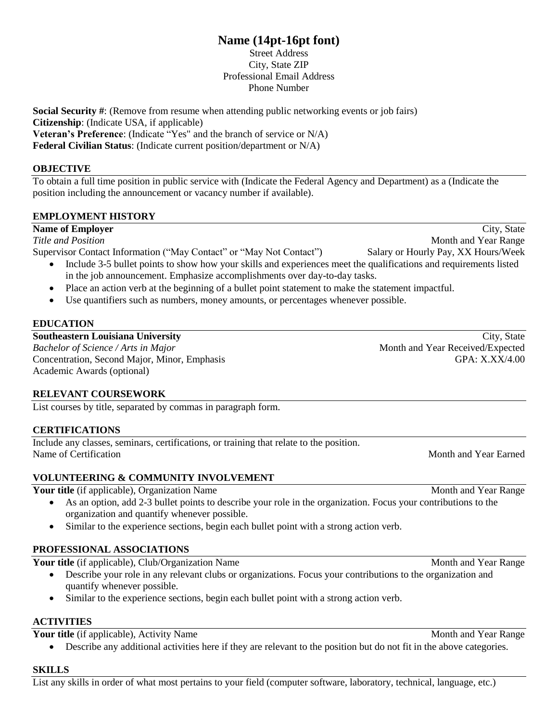# **Name (14pt-16pt font)**

Street Address City, State ZIP Professional Email Address Phone Number

**Social Security #:** (Remove from resume when attending public networking events or job fairs) **Citizenship**: (Indicate USA, if applicable) **Veteran's Preference**: (Indicate "Yes" and the branch of service or N/A) **Federal Civilian Status**: (Indicate current position/department or N/A)

#### **OBJECTIVE**

To obtain a full time position in public service with (Indicate the Federal Agency and Department) as a (Indicate the position including the announcement or vacancy number if available).

### **EMPLOYMENT HISTORY**

#### **Name of Employer** City, State

*Title and Position* Month and Year Range

Supervisor Contact Information ("May Contact" or "May Not Contact") Salary or Hourly Pay, XX Hours/Week

- Include 3-5 bullet points to show how your skills and experiences meet the qualifications and requirements listed in the job announcement. Emphasize accomplishments over day-to-day tasks.
- Place an action verb at the beginning of a bullet point statement to make the statement impactful.
- Use quantifiers such as numbers, money amounts, or percentages whenever possible.

# **EDUCATION**

*Bachelor of Science / Arts in Major* Month and Year Received/Expected Concentration, Second Major, Minor, Emphasis GPA: X.XX/4.00 Academic Awards (optional)

# **RELEVANT COURSEWORK**

List courses by title, separated by commas in paragraph form.

### **CERTIFICATIONS**

Include any classes, seminars, certifications, or training that relate to the position. Name of Certification Name of Certification Name of Certification Name of Certification Name of Certification

### **VOLUNTEERING & COMMUNITY INVOLVEMENT**

**Your title** (if applicable), Organization Name Month and Year Range

- As an option, add 2-3 bullet points to describe your role in the organization. Focus your contributions to the organization and quantify whenever possible.
- Similar to the experience sections, begin each bullet point with a strong action verb.

### **PROFESSIONAL ASSOCIATIONS**

**Your title** (if applicable), Club/Organization Name Month and Year Range

- Describe your role in any relevant clubs or organizations. Focus your contributions to the organization and quantify whenever possible.
- Similar to the experience sections, begin each bullet point with a strong action verb.

# **ACTIVITIES**

**Your title** (if applicable), Activity Name Month and Year Range

Describe any additional activities here if they are relevant to the position but do not fit in the above categories.

### **SKILLS**

List any skills in order of what most pertains to your field (computer software, laboratory, technical, language, etc.)

**Southeastern Louisiana University City, State** City, State